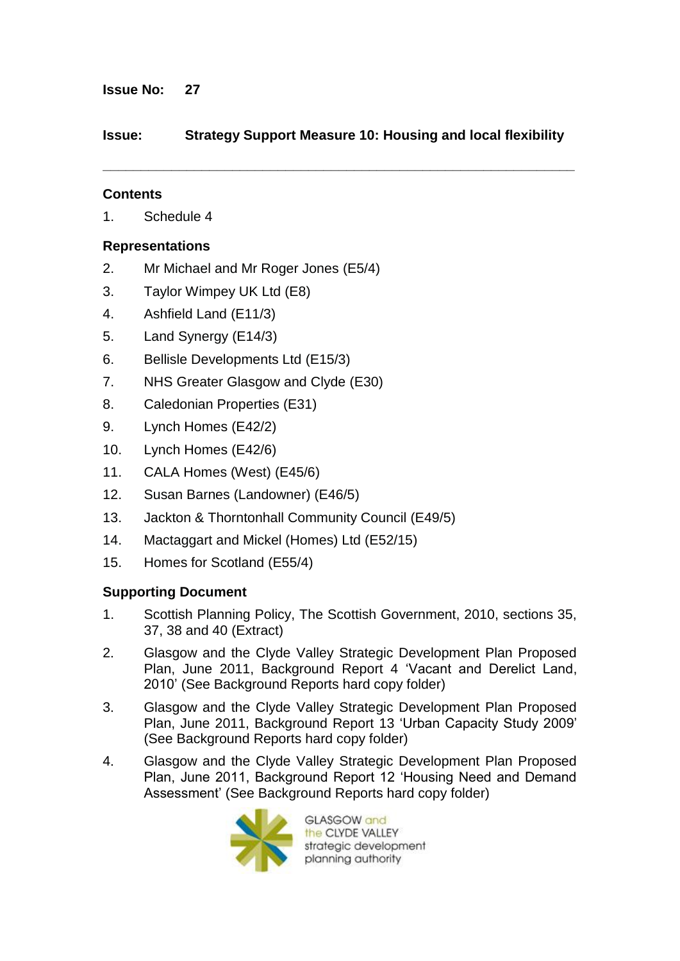# **Issue No: 27**

# **Issue: Strategy Support Measure 10: Housing and local flexibility**

**\_\_\_\_\_\_\_\_\_\_\_\_\_\_\_\_\_\_\_\_\_\_\_\_\_\_\_\_\_\_\_\_\_\_\_\_\_\_\_\_\_\_\_\_\_\_\_\_\_\_\_\_\_\_\_\_\_\_\_\_\_\_**

# **Contents**

1. Schedule 4

# **Representations**

- 2. Mr Michael and Mr Roger Jones (E5/4)
- 3. Taylor Wimpey UK Ltd (E8)
- 4. Ashfield Land (E11/3)
- 5. Land Synergy (E14/3)
- 6. Bellisle Developments Ltd (E15/3)
- 7. NHS Greater Glasgow and Clyde (E30)
- 8. Caledonian Properties (E31)
- 9. Lynch Homes (E42/2)
- 10. Lynch Homes (E42/6)
- 11. CALA Homes (West) (E45/6)
- 12. Susan Barnes (Landowner) (E46/5)
- 13. Jackton & Thorntonhall Community Council (E49/5)
- 14. Mactaggart and Mickel (Homes) Ltd (E52/15)
- 15. Homes for Scotland (E55/4)

# **Supporting Document**

- 1. Scottish Planning Policy, The Scottish Government, 2010, sections 35, 37, 38 and 40 (Extract)
- 2. Glasgow and the Clyde Valley Strategic Development Plan Proposed Plan, June 2011, Background Report 4 "Vacant and Derelict Land, 2010" (See Background Reports hard copy folder)
- 3. Glasgow and the Clyde Valley Strategic Development Plan Proposed Plan, June 2011, Background Report 13 "Urban Capacity Study 2009" (See Background Reports hard copy folder)
- 4. Glasgow and the Clyde Valley Strategic Development Plan Proposed Plan, June 2011, Background Report 12 "Housing Need and Demand Assessment" (See Background Reports hard copy folder)



GLASGOW and the CLYDE VALLEY strategic development planning authority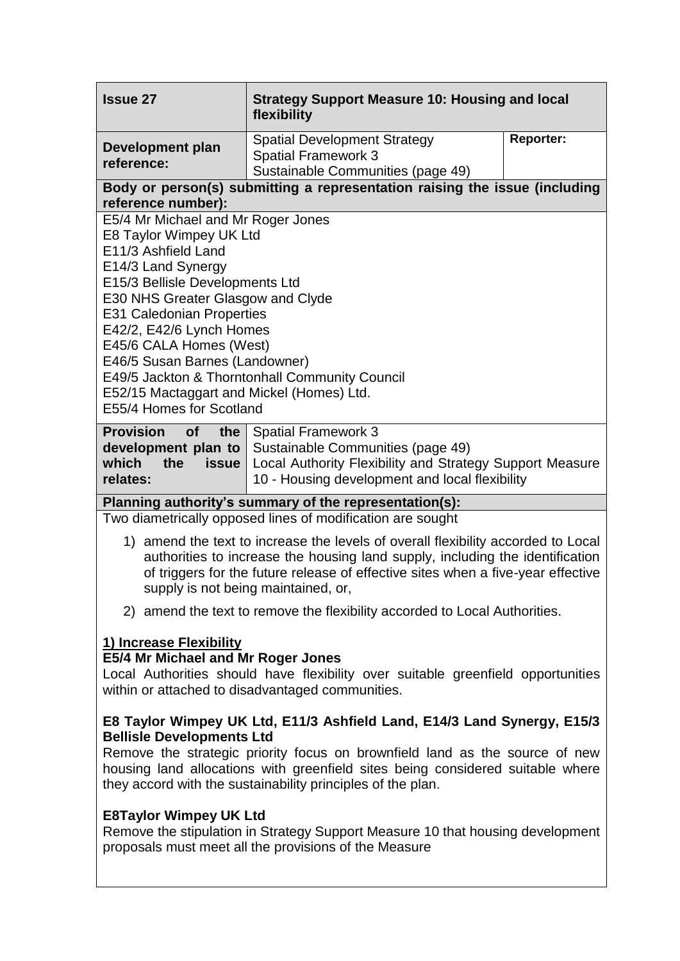| <b>Issue 27</b>                                                                                                                                                                                                                                                                                                                                                                                                                            | <b>Strategy Support Measure 10: Housing and local</b><br>flexibility                                                                                                          |                  |
|--------------------------------------------------------------------------------------------------------------------------------------------------------------------------------------------------------------------------------------------------------------------------------------------------------------------------------------------------------------------------------------------------------------------------------------------|-------------------------------------------------------------------------------------------------------------------------------------------------------------------------------|------------------|
| Development plan<br>reference:                                                                                                                                                                                                                                                                                                                                                                                                             | <b>Spatial Development Strategy</b><br><b>Spatial Framework 3</b><br>Sustainable Communities (page 49)                                                                        | <b>Reporter:</b> |
| Body or person(s) submitting a representation raising the issue (including<br>reference number):                                                                                                                                                                                                                                                                                                                                           |                                                                                                                                                                               |                  |
| E5/4 Mr Michael and Mr Roger Jones<br>E8 Taylor Wimpey UK Ltd<br>E11/3 Ashfield Land<br>E14/3 Land Synergy<br>E15/3 Bellisle Developments Ltd<br>E30 NHS Greater Glasgow and Clyde<br><b>E31 Caledonian Properties</b><br>E42/2, E42/6 Lynch Homes<br>E45/6 CALA Homes (West)<br>E46/5 Susan Barnes (Landowner)<br>E49/5 Jackton & Thorntonhall Community Council<br>E52/15 Mactaggart and Mickel (Homes) Ltd.<br>E55/4 Homes for Scotland |                                                                                                                                                                               |                  |
| <b>Provision</b><br>the<br><b>of</b><br>development plan to<br>which<br>the<br>issue<br>relates:                                                                                                                                                                                                                                                                                                                                           | <b>Spatial Framework 3</b><br>Sustainable Communities (page 49)<br>Local Authority Flexibility and Strategy Support Measure<br>10 - Housing development and local flexibility |                  |
| Planning authority's summary of the representation(s):                                                                                                                                                                                                                                                                                                                                                                                     |                                                                                                                                                                               |                  |
| Two diametrically opposed lines of modification are sought                                                                                                                                                                                                                                                                                                                                                                                 |                                                                                                                                                                               |                  |
| 1) amend the text to increase the levels of overall flexibility accorded to Local<br>authorities to increase the housing land supply, including the identification<br>of triggers for the future release of effective sites when a five-year effective<br>supply is not being maintained, or,                                                                                                                                              |                                                                                                                                                                               |                  |
| 2) amend the text to remove the flexibility accorded to Local Authorities.                                                                                                                                                                                                                                                                                                                                                                 |                                                                                                                                                                               |                  |
| 1) Increase Flexibility<br>E5/4 Mr Michael and Mr Roger Jones                                                                                                                                                                                                                                                                                                                                                                              |                                                                                                                                                                               |                  |

# Local Authorities should have flexibility over suitable greenfield opportunities within or attached to disadvantaged communities.

# **E8 Taylor Wimpey UK Ltd, E11/3 Ashfield Land, E14/3 Land Synergy, E15/3 Bellisle Developments Ltd**

Remove the strategic priority focus on brownfield land as the source of new housing land allocations with greenfield sites being considered suitable where they accord with the sustainability principles of the plan.

# **E8Taylor Wimpey UK Ltd**

Remove the stipulation in Strategy Support Measure 10 that housing development proposals must meet all the provisions of the Measure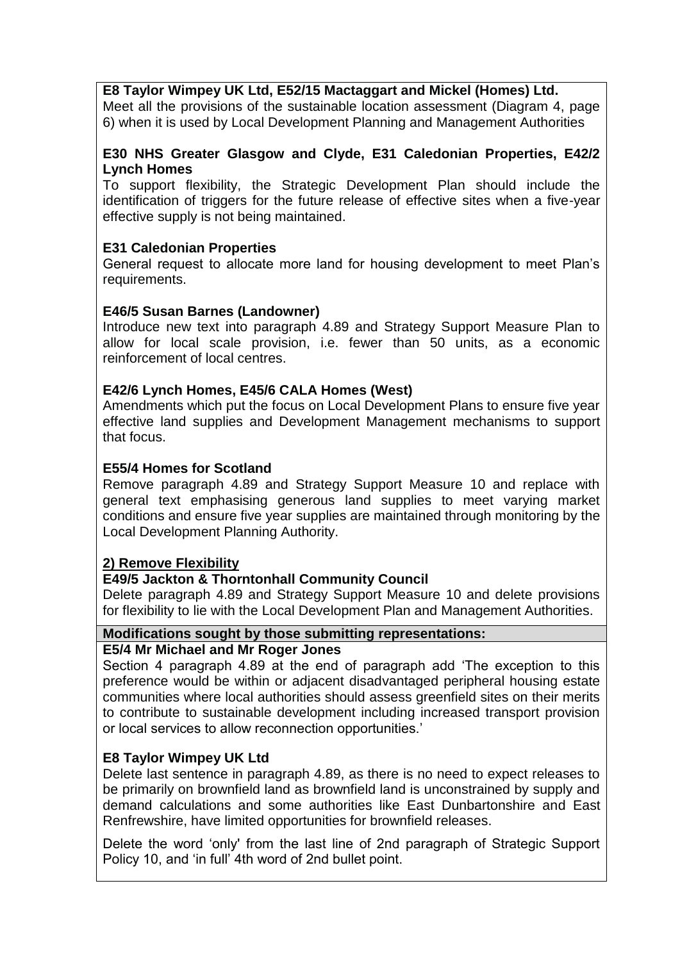# **E8 Taylor Wimpey UK Ltd, E52/15 Mactaggart and Mickel (Homes) Ltd.**

Meet all the provisions of the sustainable location assessment (Diagram 4, page 6) when it is used by Local Development Planning and Management Authorities

### **E30 NHS Greater Glasgow and Clyde, E31 Caledonian Properties, E42/2 Lynch Homes**

To support flexibility, the Strategic Development Plan should include the identification of triggers for the future release of effective sites when a five-year effective supply is not being maintained.

# **E31 Caledonian Properties**

General request to allocate more land for housing development to meet Plan"s requirements.

# **E46/5 Susan Barnes (Landowner)**

Introduce new text into paragraph 4.89 and Strategy Support Measure Plan to allow for local scale provision, i.e. fewer than 50 units, as a economic reinforcement of local centres.

# **E42/6 Lynch Homes, E45/6 CALA Homes (West)**

Amendments which put the focus on Local Development Plans to ensure five year effective land supplies and Development Management mechanisms to support that focus.

# **E55/4 Homes for Scotland**

Remove paragraph 4.89 and Strategy Support Measure 10 and replace with general text emphasising generous land supplies to meet varying market conditions and ensure five year supplies are maintained through monitoring by the Local Development Planning Authority.

# **2) Remove Flexibility**

### **E49/5 Jackton & Thorntonhall Community Council**

Delete paragraph 4.89 and Strategy Support Measure 10 and delete provisions for flexibility to lie with the Local Development Plan and Management Authorities.

# **Modifications sought by those submitting representations:**

### **E5/4 Mr Michael and Mr Roger Jones**

Section 4 paragraph 4.89 at the end of paragraph add "The exception to this preference would be within or adjacent disadvantaged peripheral housing estate communities where local authorities should assess greenfield sites on their merits to contribute to sustainable development including increased transport provision or local services to allow reconnection opportunities."

### **E8 Taylor Wimpey UK Ltd**

Delete last sentence in paragraph 4.89, as there is no need to expect releases to be primarily on brownfield land as brownfield land is unconstrained by supply and demand calculations and some authorities like East Dunbartonshire and East Renfrewshire, have limited opportunities for brownfield releases.

Delete the word "only' from the last line of 2nd paragraph of Strategic Support Policy 10, and "in full" 4th word of 2nd bullet point.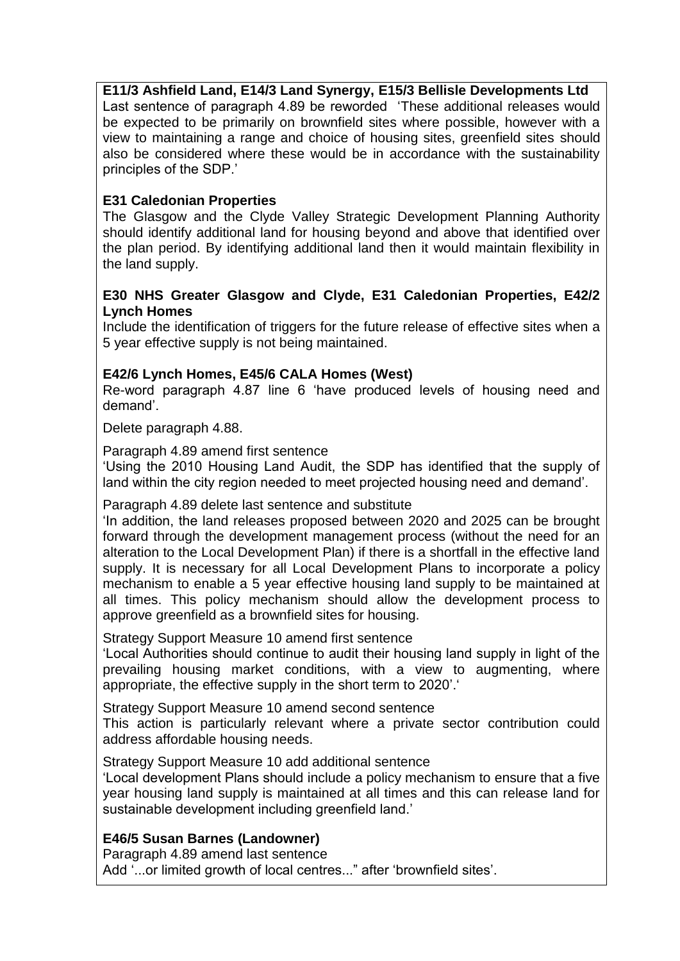# **E11/3 Ashfield Land, E14/3 Land Synergy, E15/3 Bellisle Developments Ltd**

Last sentence of paragraph 4.89 be reworded "These additional releases would be expected to be primarily on brownfield sites where possible, however with a view to maintaining a range and choice of housing sites, greenfield sites should also be considered where these would be in accordance with the sustainability principles of the SDP."

# **E31 Caledonian Properties**

The Glasgow and the Clyde Valley Strategic Development Planning Authority should identify additional land for housing beyond and above that identified over the plan period. By identifying additional land then it would maintain flexibility in the land supply.

### **E30 NHS Greater Glasgow and Clyde, E31 Caledonian Properties, E42/2 Lynch Homes**

Include the identification of triggers for the future release of effective sites when a 5 year effective supply is not being maintained.

# **E42/6 Lynch Homes, E45/6 CALA Homes (West)**

Re-word paragraph 4.87 line 6 "have produced levels of housing need and demand".

Delete paragraph 4.88.

Paragraph 4.89 amend first sentence

"Using the 2010 Housing Land Audit, the SDP has identified that the supply of land within the city region needed to meet projected housing need and demand".

Paragraph 4.89 delete last sentence and substitute

"In addition, the land releases proposed between 2020 and 2025 can be brought forward through the development management process (without the need for an alteration to the Local Development Plan) if there is a shortfall in the effective land supply. It is necessary for all Local Development Plans to incorporate a policy mechanism to enable a 5 year effective housing land supply to be maintained at all times. This policy mechanism should allow the development process to approve greenfield as a brownfield sites for housing.

Strategy Support Measure 10 amend first sentence

"Local Authorities should continue to audit their housing land supply in light of the prevailing housing market conditions, with a view to augmenting, where appropriate, the effective supply in the short term to 2020'.

Strategy Support Measure 10 amend second sentence

This action is particularly relevant where a private sector contribution could address affordable housing needs.

Strategy Support Measure 10 add additional sentence

"Local development Plans should include a policy mechanism to ensure that a five year housing land supply is maintained at all times and this can release land for sustainable development including greenfield land.'

### **E46/5 Susan Barnes (Landowner)**

Paragraph 4.89 amend last sentence Add "...or limited growth of local centres..." after 'brownfield sites'.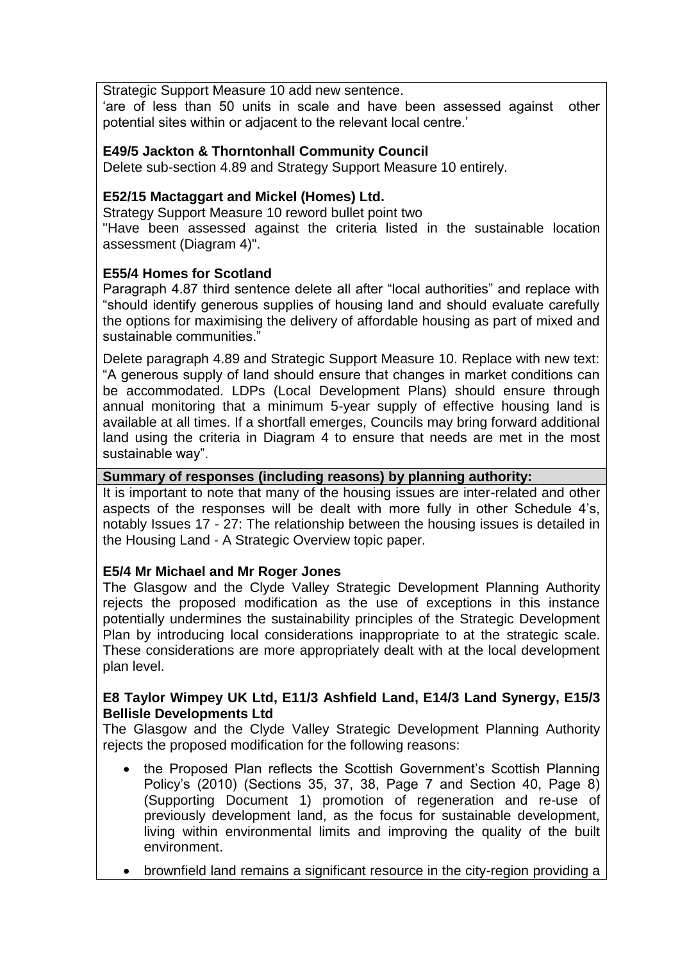Strategic Support Measure 10 add new sentence.

"are of less than 50 units in scale and have been assessed against other potential sites within or adjacent to the relevant local centre."

# **E49/5 Jackton & Thorntonhall Community Council**

Delete sub-section 4.89 and Strategy Support Measure 10 entirely.

# **E52/15 Mactaggart and Mickel (Homes) Ltd.**

Strategy Support Measure 10 reword bullet point two

"Have been assessed against the criteria listed in the sustainable location assessment (Diagram 4)".

# **E55/4 Homes for Scotland**

Paragraph 4.87 third sentence delete all after "local authorities" and replace with "should identify generous supplies of housing land and should evaluate carefully the options for maximising the delivery of affordable housing as part of mixed and sustainable communities."

Delete paragraph 4.89 and Strategic Support Measure 10. Replace with new text: "A generous supply of land should ensure that changes in market conditions can be accommodated. LDPs (Local Development Plans) should ensure through annual monitoring that a minimum 5-year supply of effective housing land is available at all times. If a shortfall emerges, Councils may bring forward additional land using the criteria in Diagram 4 to ensure that needs are met in the most sustainable way".

### **Summary of responses (including reasons) by planning authority:**

It is important to note that many of the housing issues are inter-related and other aspects of the responses will be dealt with more fully in other Schedule 4"s, notably Issues 17 - 27: The relationship between the housing issues is detailed in the Housing Land - A Strategic Overview topic paper.

### **E5/4 Mr Michael and Mr Roger Jones**

The Glasgow and the Clyde Valley Strategic Development Planning Authority rejects the proposed modification as the use of exceptions in this instance potentially undermines the sustainability principles of the Strategic Development Plan by introducing local considerations inappropriate to at the strategic scale. These considerations are more appropriately dealt with at the local development plan level.

### **E8 Taylor Wimpey UK Ltd, E11/3 Ashfield Land, E14/3 Land Synergy, E15/3 Bellisle Developments Ltd**

The Glasgow and the Clyde Valley Strategic Development Planning Authority rejects the proposed modification for the following reasons:

- the Proposed Plan reflects the Scottish Government"s Scottish Planning Policy"s (2010) (Sections 35, 37, 38, Page 7 and Section 40, Page 8) (Supporting Document 1) promotion of regeneration and re-use of previously development land, as the focus for sustainable development, living within environmental limits and improving the quality of the built environment.
- brownfield land remains a significant resource in the city-region providing a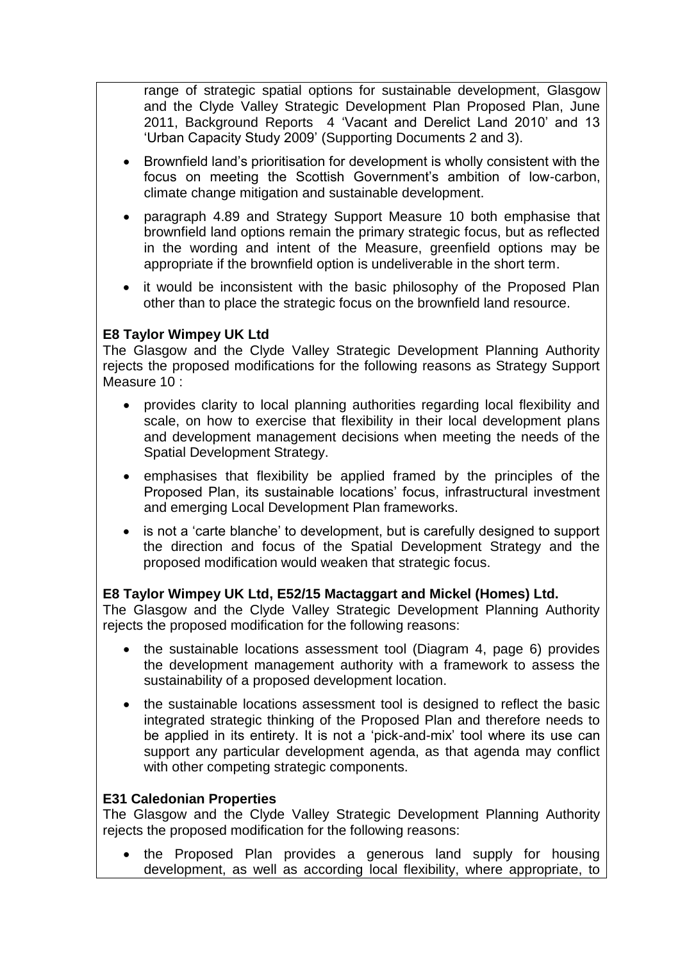range of strategic spatial options for sustainable development, Glasgow and the Clyde Valley Strategic Development Plan Proposed Plan, June 2011, Background Reports 4 "Vacant and Derelict Land 2010" and 13 "Urban Capacity Study 2009" (Supporting Documents 2 and 3).

- Brownfield land"s prioritisation for development is wholly consistent with the focus on meeting the Scottish Government's ambition of low-carbon, climate change mitigation and sustainable development.
- paragraph 4.89 and Strategy Support Measure 10 both emphasise that brownfield land options remain the primary strategic focus, but as reflected in the wording and intent of the Measure, greenfield options may be appropriate if the brownfield option is undeliverable in the short term.
- it would be inconsistent with the basic philosophy of the Proposed Plan other than to place the strategic focus on the brownfield land resource.

# **E8 Taylor Wimpey UK Ltd**

The Glasgow and the Clyde Valley Strategic Development Planning Authority rejects the proposed modifications for the following reasons as Strategy Support Measure 10 :

- provides clarity to local planning authorities regarding local flexibility and scale, on how to exercise that flexibility in their local development plans and development management decisions when meeting the needs of the Spatial Development Strategy.
- emphasises that flexibility be applied framed by the principles of the Proposed Plan, its sustainable locations" focus, infrastructural investment and emerging Local Development Plan frameworks.
- is not a 'carte blanche' to development, but is carefully designed to support the direction and focus of the Spatial Development Strategy and the proposed modification would weaken that strategic focus.

### **E8 Taylor Wimpey UK Ltd, E52/15 Mactaggart and Mickel (Homes) Ltd.**

The Glasgow and the Clyde Valley Strategic Development Planning Authority rejects the proposed modification for the following reasons:

- the sustainable locations assessment tool (Diagram 4, page 6) provides the development management authority with a framework to assess the sustainability of a proposed development location.
- the sustainable locations assessment tool is designed to reflect the basic integrated strategic thinking of the Proposed Plan and therefore needs to be applied in its entirety. It is not a "pick-and-mix" tool where its use can support any particular development agenda, as that agenda may conflict with other competing strategic components.

#### **E31 Caledonian Properties**

The Glasgow and the Clyde Valley Strategic Development Planning Authority rejects the proposed modification for the following reasons:

• the Proposed Plan provides a generous land supply for housing development, as well as according local flexibility, where appropriate, to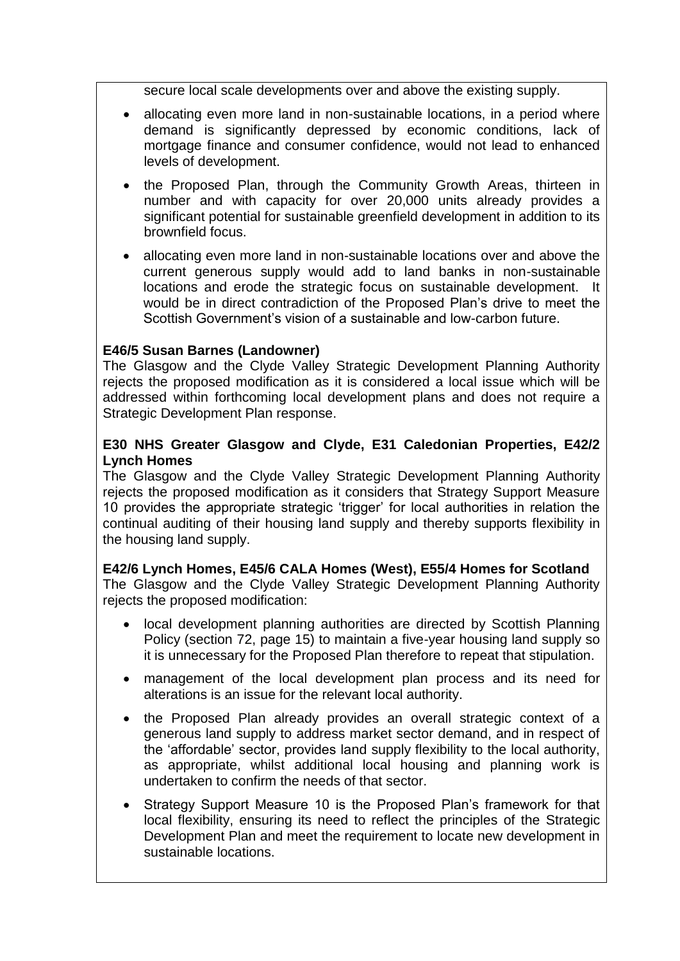secure local scale developments over and above the existing supply.

- allocating even more land in non-sustainable locations, in a period where demand is significantly depressed by economic conditions, lack of mortgage finance and consumer confidence, would not lead to enhanced levels of development.
- the Proposed Plan, through the Community Growth Areas, thirteen in number and with capacity for over 20,000 units already provides a significant potential for sustainable greenfield development in addition to its brownfield focus.
- allocating even more land in non-sustainable locations over and above the current generous supply would add to land banks in non-sustainable locations and erode the strategic focus on sustainable development. It would be in direct contradiction of the Proposed Plan"s drive to meet the Scottish Government's vision of a sustainable and low-carbon future.

### **E46/5 Susan Barnes (Landowner)**

The Glasgow and the Clyde Valley Strategic Development Planning Authority rejects the proposed modification as it is considered a local issue which will be addressed within forthcoming local development plans and does not require a Strategic Development Plan response.

# **E30 NHS Greater Glasgow and Clyde, E31 Caledonian Properties, E42/2 Lynch Homes**

The Glasgow and the Clyde Valley Strategic Development Planning Authority rejects the proposed modification as it considers that Strategy Support Measure 10 provides the appropriate strategic "trigger" for local authorities in relation the continual auditing of their housing land supply and thereby supports flexibility in the housing land supply.

### **E42/6 Lynch Homes, E45/6 CALA Homes (West), E55/4 Homes for Scotland**

The Glasgow and the Clyde Valley Strategic Development Planning Authority rejects the proposed modification:

- local development planning authorities are directed by Scottish Planning Policy (section 72, page 15) to maintain a five-year housing land supply so it is unnecessary for the Proposed Plan therefore to repeat that stipulation.
- management of the local development plan process and its need for alterations is an issue for the relevant local authority.
- the Proposed Plan already provides an overall strategic context of a generous land supply to address market sector demand, and in respect of the "affordable" sector, provides land supply flexibility to the local authority, as appropriate, whilst additional local housing and planning work is undertaken to confirm the needs of that sector.
- Strategy Support Measure 10 is the Proposed Plan"s framework for that local flexibility, ensuring its need to reflect the principles of the Strategic Development Plan and meet the requirement to locate new development in sustainable locations.